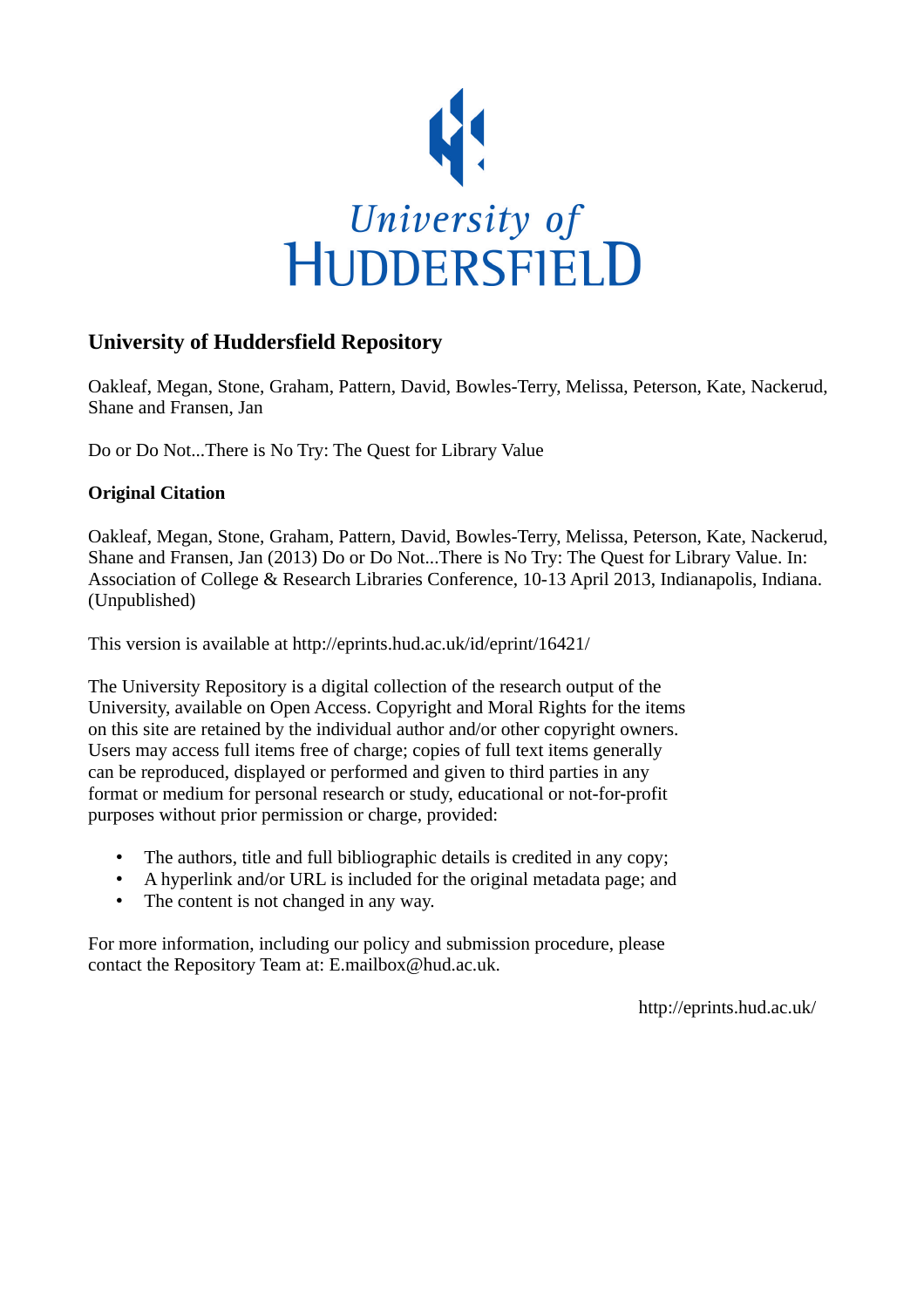

## **University of Huddersfield Repository**

Oakleaf, Megan, Stone, Graham, Pattern, David, Bowles-Terry, Melissa, Peterson, Kate, Nackerud, Shane and Fransen, Jan

Do or Do Not...There is No Try: The Quest for Library Value

## **Original Citation**

Oakleaf, Megan, Stone, Graham, Pattern, David, Bowles-Terry, Melissa, Peterson, Kate, Nackerud, Shane and Fransen, Jan (2013) Do or Do Not...There is No Try: The Quest for Library Value. In: Association of College & Research Libraries Conference, 10-13 April 2013, Indianapolis, Indiana. (Unpublished)

This version is available at http://eprints.hud.ac.uk/id/eprint/16421/

The University Repository is a digital collection of the research output of the University, available on Open Access. Copyright and Moral Rights for the items on this site are retained by the individual author and/or other copyright owners. Users may access full items free of charge; copies of full text items generally can be reproduced, displayed or performed and given to third parties in any format or medium for personal research or study, educational or not-for-profit purposes without prior permission or charge, provided:

- The authors, title and full bibliographic details is credited in any copy;
- A hyperlink and/or URL is included for the original metadata page; and
- The content is not changed in any way.

For more information, including our policy and submission procedure, please contact the Repository Team at: E.mailbox@hud.ac.uk.

http://eprints.hud.ac.uk/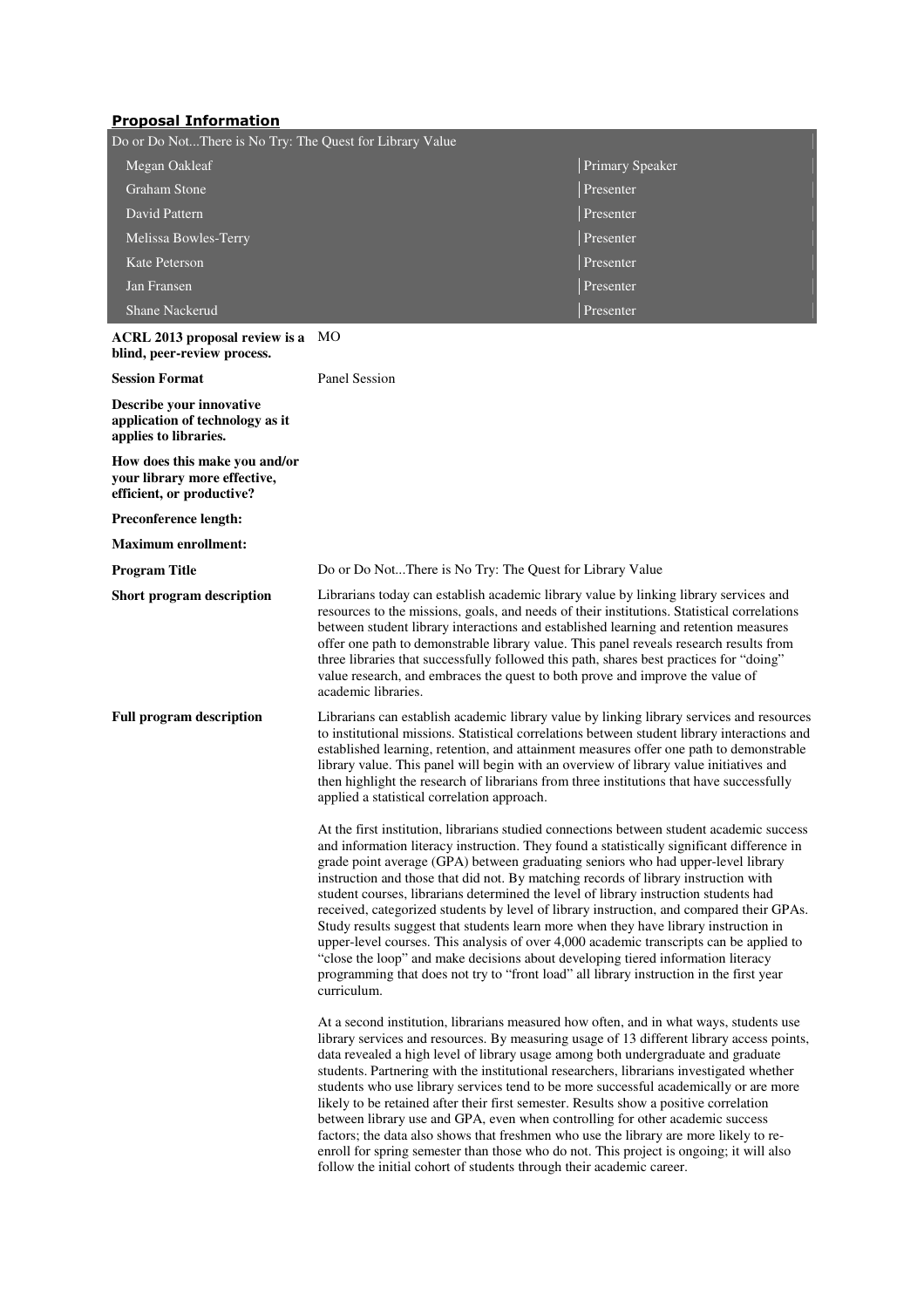## Proposal Information

| Do or Do NotThere is No Try: The Quest for Library Value |                        |
|----------------------------------------------------------|------------------------|
| Megan Oakleaf                                            | <b>Primary Speaker</b> |
| Graham Stone                                             | Presenter              |
| David Pattern                                            | Presenter              |
| Melissa Bowles-Terry                                     | Presenter              |
| Kate Peterson                                            | Presenter              |
| Jan Fransen                                              | Presenter              |
| <b>Shane Nackerud</b>                                    | Presenter              |

## **ACRL 2013 proposal review is a**  MO

| blind, peer-review process.                                                                |                                                                                                                                                                                                                                                                                                                                                                                                                                                                                                                                                                                                                                                                                                                                                                                                                                                                                                                                         |
|--------------------------------------------------------------------------------------------|-----------------------------------------------------------------------------------------------------------------------------------------------------------------------------------------------------------------------------------------------------------------------------------------------------------------------------------------------------------------------------------------------------------------------------------------------------------------------------------------------------------------------------------------------------------------------------------------------------------------------------------------------------------------------------------------------------------------------------------------------------------------------------------------------------------------------------------------------------------------------------------------------------------------------------------------|
| <b>Session Format</b>                                                                      | <b>Panel Session</b>                                                                                                                                                                                                                                                                                                                                                                                                                                                                                                                                                                                                                                                                                                                                                                                                                                                                                                                    |
| Describe your innovative<br>application of technology as it<br>applies to libraries.       |                                                                                                                                                                                                                                                                                                                                                                                                                                                                                                                                                                                                                                                                                                                                                                                                                                                                                                                                         |
| How does this make you and/or<br>your library more effective,<br>efficient, or productive? |                                                                                                                                                                                                                                                                                                                                                                                                                                                                                                                                                                                                                                                                                                                                                                                                                                                                                                                                         |
| <b>Preconference length:</b>                                                               |                                                                                                                                                                                                                                                                                                                                                                                                                                                                                                                                                                                                                                                                                                                                                                                                                                                                                                                                         |
| <b>Maximum enrollment:</b>                                                                 |                                                                                                                                                                                                                                                                                                                                                                                                                                                                                                                                                                                                                                                                                                                                                                                                                                                                                                                                         |
| <b>Program Title</b>                                                                       | Do or Do NotThere is No Try: The Quest for Library Value                                                                                                                                                                                                                                                                                                                                                                                                                                                                                                                                                                                                                                                                                                                                                                                                                                                                                |
| Short program description                                                                  | Librarians today can establish academic library value by linking library services and<br>resources to the missions, goals, and needs of their institutions. Statistical correlations<br>between student library interactions and established learning and retention measures<br>offer one path to demonstrable library value. This panel reveals research results from<br>three libraries that successfully followed this path, shares best practices for "doing"<br>value research, and embraces the quest to both prove and improve the value of<br>academic libraries.                                                                                                                                                                                                                                                                                                                                                               |
| <b>Full program description</b>                                                            | Librarians can establish academic library value by linking library services and resources<br>to institutional missions. Statistical correlations between student library interactions and<br>established learning, retention, and attainment measures offer one path to demonstrable<br>library value. This panel will begin with an overview of library value initiatives and<br>then highlight the research of librarians from three institutions that have successfully<br>applied a statistical correlation approach.                                                                                                                                                                                                                                                                                                                                                                                                               |
|                                                                                            | At the first institution, librarians studied connections between student academic success<br>and information literacy instruction. They found a statistically significant difference in<br>grade point average (GPA) between graduating seniors who had upper-level library<br>instruction and those that did not. By matching records of library instruction with<br>student courses, librarians determined the level of library instruction students had<br>received, categorized students by level of library instruction, and compared their GPAs.<br>Study results suggest that students learn more when they have library instruction in<br>upper-level courses. This analysis of over 4,000 academic transcripts can be applied to<br>"close the loop" and make decisions about developing tiered information literacy<br>programming that does not try to "front load" all library instruction in the first year<br>curriculum. |
|                                                                                            | At a second institution, librarians measured how often, and in what ways, students use<br>library services and resources. By measuring usage of 13 different library access points,<br>data revealed a high level of library usage among both undergraduate and graduate<br>students. Partnering with the institutional researchers, librarians investigated whether<br>students who use library services tend to be more successful academically or are more<br>likely to be retained after their first semester. Results show a positive correlation<br>between library use and GPA, even when controlling for other academic success<br>factors; the data also shows that freshmen who use the library are more likely to re-<br>enroll for spring semester than those who do not. This project is ongoing; it will also                                                                                                             |

follow the initial cohort of students through their academic career.